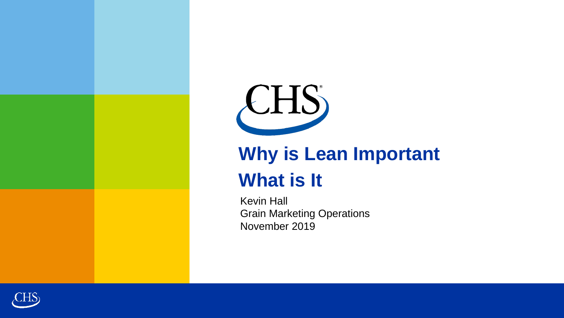



## **Why is Lean Important What is It**

Kevin Hall Grain Marketing Operations November 2019

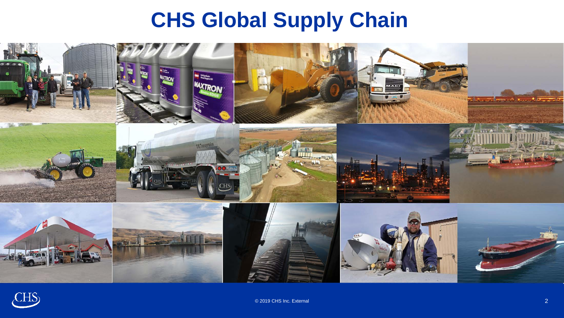## **CHS Global Supply Chain**



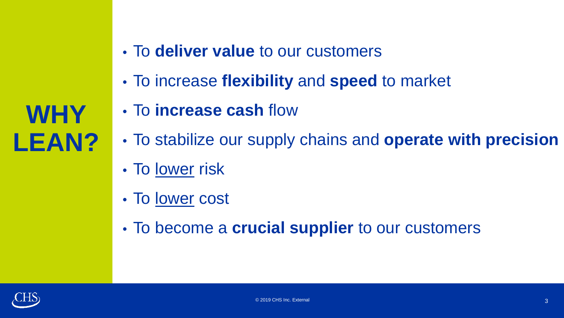**WHY LEAN?**

- To **deliver value** to our customers
- To increase **flexibility** and **speed** to market
- To **increase cash** flow
- To stabilize our supply chains and **operate with precision**
- To lower risk
- To lower cost
- To become a **crucial supplier** to our customers

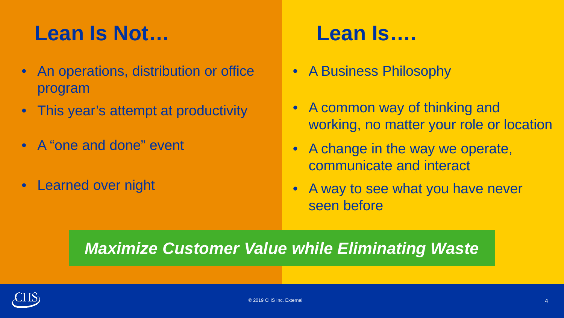## **Lean Is Not…**

- An operations, distribution or office program
- This year's attempt at productivity
- A "one and done" event
- Learned over night

## **Lean Is….**

- A Business Philosophy
- A common way of thinking and working, no matter your role or location
- A change in the way we operate, communicate and interact
- A way to see what you have never seen before

## *Maximize Customer Value while Eliminating Waste*

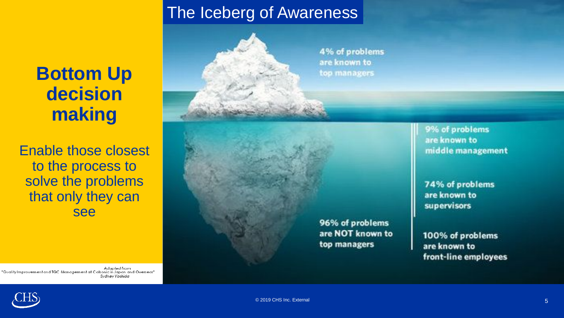## **Bottom Up decision making**

Enable those closest to the process to solve the problems that only they can see

Adapted from "Quality Improvement and TQC Management at Calsonic in Japan and Overseas" Sydney Yoshida

## The Iceberg of Awareness



9% of problems are known to middle management

74% of problems are known to **supervisors** 

100% of problems are known to front-line employees



96% of problems are NOT known to

top managers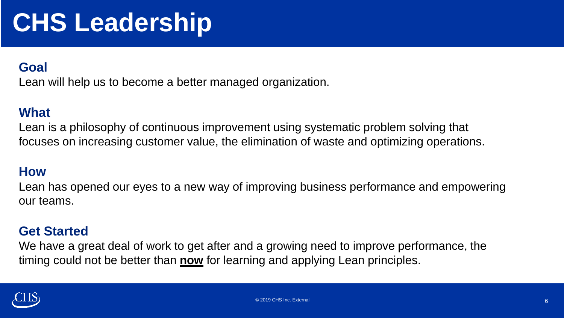## **CHS Leadership**

### **Goal**

Lean will help us to become a better managed organization.

### **What**

Lean is a philosophy of continuous improvement using systematic problem solving that focuses on increasing customer value, the elimination of waste and optimizing operations.

#### **How**

Lean has opened our eyes to a new way of improving business performance and empowering our teams.

### **Get Started**

We have a great deal of work to get after and a growing need to improve performance, the timing could not be better than **now** for learning and applying Lean principles.

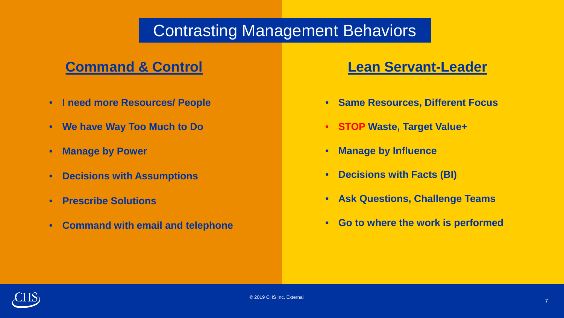## Contrasting Management Behaviors

- **I need more Resources/ People**
- **We have Way Too Much to Do**
- **Manage by Power**
- **Decisions with Assumptions**
- **Prescribe Solutions**
- **Command with email and telephone**

### **Command & Control Lean Servant-Leader**

- **Same Resources, Different Focus**
- **STOP Waste, Target Value+**
- **Manage by Influence**
- **Decisions with Facts (BI)**
- **Ask Questions, Challenge Teams**
- **Go to where the work is performed**

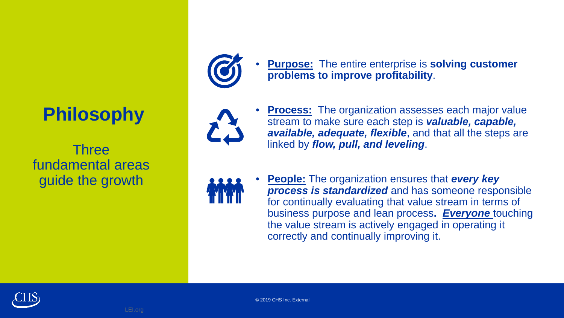## **Philosophy**

**Three** fundamental areas guide the growth



• **Purpose:** The entire enterprise is **solving customer problems to improve profitability**.



**Process:** The organization assesses each major value stream to make sure each step is *valuable, capable, available, adequate, flexible*, and that all the steps are linked by *flow, pull, and leveling*.

• **People:** The organization ensures that *every key process is standardized* and has someone responsible for continually evaluating that value stream in terms of business purpose and lean process**.** *Everyone* touching the value stream is actively engaged in operating it correctly and continually improving it.



© 2019 CHS Inc. External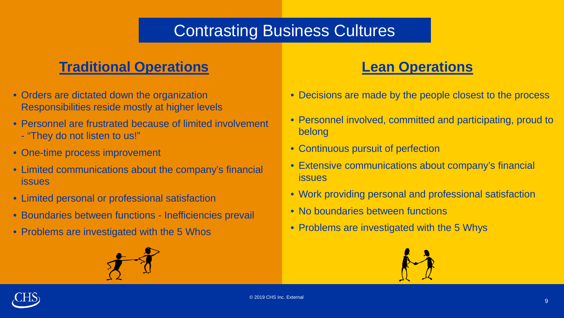## Contrasting Business Cultures

### **Traditional Operations Lean Operations**

- Orders are dictated down the organization Responsibilities reside mostly at higher levels
- Personnel are frustrated because of limited involvement - "They do not listen to us!"
- One-time process improvement
- Limited communications about the company's financial issues
- Limited personal or professional satisfaction
- Boundaries between functions Inefficiencies prevail
- Problems are investigated with the 5 Whos



- Decisions are made by the people closest to the process
- Personnel involved, committed and participating, proud to belong
- Continuous pursuit of perfection
- Extensive communications about company's financial issues
- Work providing personal and professional satisfaction
- No boundaries between functions
- Problems are investigated with the 5 Whys



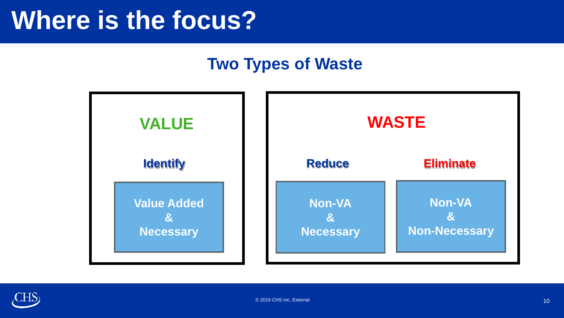## **Where is the focus?**

## **Two Types of Waste**



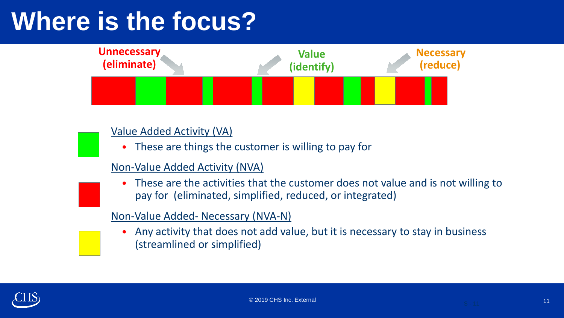## **Where is the focus?**



#### Value Added Activity (VA)

• These are things the customer is willing to pay for

#### Non-Value Added Activity (NVA)

• These are the activities that the customer does not value and is not willing to pay for (eliminated, simplified, reduced, or integrated)

#### Non-Value Added- Necessary (NVA-N)

• Any activity that does not add value, but it is necessary to stay in business (streamlined or simplified)

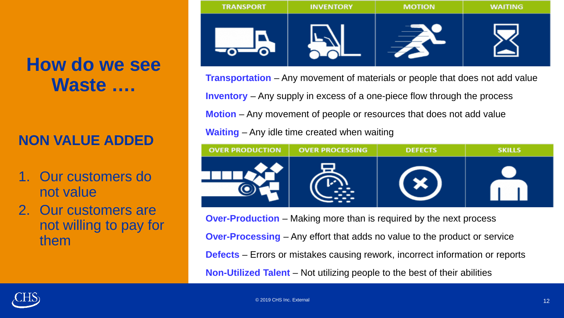## **How do we see Waste ….**

### **NON VALUE ADDED**

- 1. Our customers do not value
- 2. Our customers are not willing to pay for them

| <b>TRANSPORT</b> | <b>INVENTORY</b> | <b>MOTION</b> | <b>WAITING</b> |
|------------------|------------------|---------------|----------------|
|                  |                  |               |                |

- Any movement of materials or people that does process **Transportation** – Any movement of materials or people that does not add value **Inventory** – Any supply in excess of a one-piece flow through the process **Motion** – Any movement of people or resources that does not add value **Waiting** – Any idle time created when waiting



**Over-Production** – Making more than is required by the next process **Over-Processing** – Any effort that adds no value to the product or service **Defects** – Errors or mistakes causing rework, incorrect information or reports **Non-Utilized Talent** – Not utilizing people to the best of their abilities

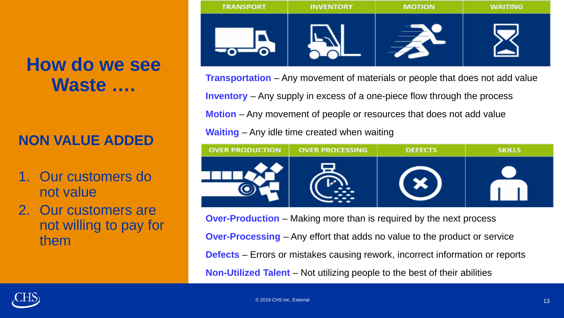## **How do we see Waste ….**

### **NON VALUE ADDED**

- 1. Our customers do not value
- 2. Our customers are not willing to pay for them

| <b>TRANSPORT</b> | <b>INVENTORY</b> | <b>MOTION</b> | <b>WAITING</b> |
|------------------|------------------|---------------|----------------|
|                  |                  |               |                |

- Any movement of materials or people that does process **Transportation** – Any movement of materials or people that does not add value **Inventory** – Any supply in excess of a one-piece flow through the process **Motion** – Any movement of people or resources that does not add value **Waiting** – Any idle time created when waiting



**Over-Production** – Making more than is required by the next process **Over-Processing** – Any effort that adds no value to the product or service **Defects** – Errors or mistakes causing rework, incorrect information or reports **Non-Utilized Talent** – Not utilizing people to the best of their abilities

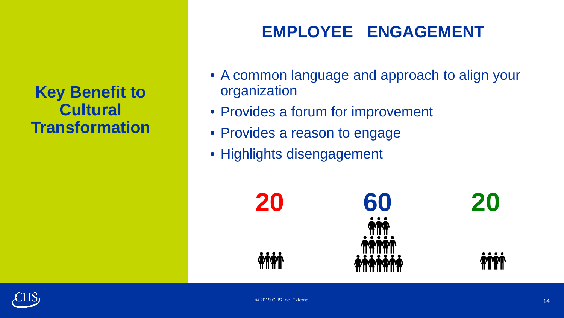**Key Benefit to Cultural Transformation**

## **EMPLOYEE ENGAGEMENT**

- A common language and approach to align your organization
- Provides a forum for improvement
- Provides a reason to engage
- Highlights disengagement



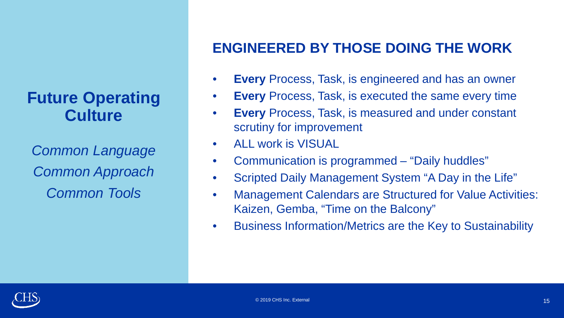## **Future Operating Culture**

*Common Language Common Approach Common Tools*

### **ENGINEERED BY THOSE DOING THE WORK**

- **Every** Process, Task, is engineered and has an owner
- **Every** Process, Task, is executed the same every time
- **Every** Process, Task, is measured and under constant scrutiny for improvement
- ALL work is VISUAL
- Communication is programmed "Daily huddles"
- Scripted Daily Management System "A Day in the Life"
- Management Calendars are Structured for Value Activities: Kaizen, Gemba, "Time on the Balcony"
- Business Information/Metrics are the Key to Sustainability

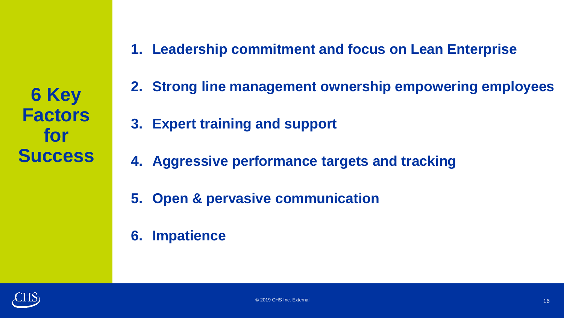**6 Key Factors for Success**

- **1. Leadership commitment and focus on Lean Enterprise**
- **2. Strong line management ownership empowering employees**
- **3. Expert training and support**
- **4. Aggressive performance targets and tracking**
- **5. Open & pervasive communication**
- **6. Impatience**

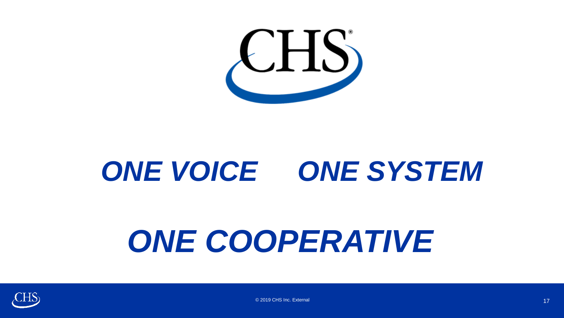

## *ONE VOICE ONE SYSTEM*

# *ONE COOPERATIVE*



© 2019 CHS Inc. External  $\sim$  17  $\,$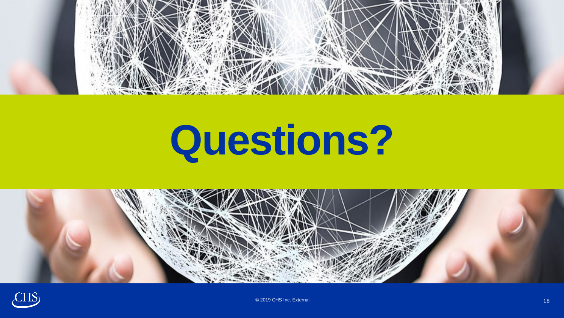

# **Questions?**